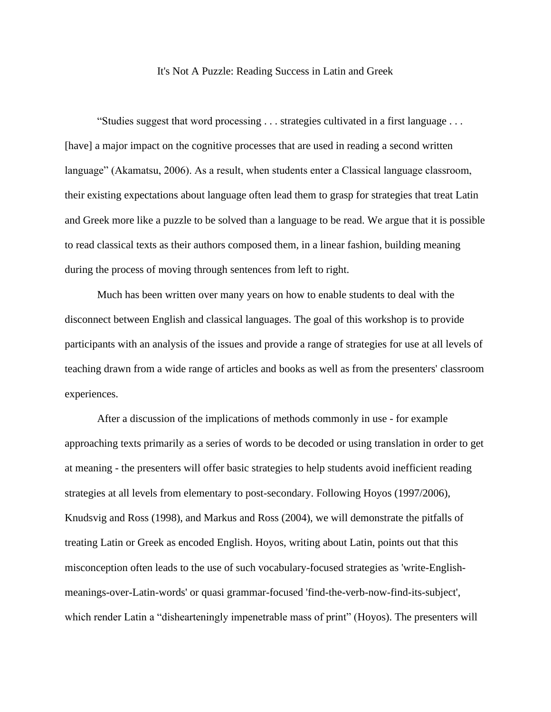## It's Not A Puzzle: Reading Success in Latin and Greek

"Studies suggest that word processing . . . strategies cultivated in a first language . . . [have] a major impact on the cognitive processes that are used in reading a second written language" (Akamatsu, 2006). As a result, when students enter a Classical language classroom, their existing expectations about language often lead them to grasp for strategies that treat Latin and Greek more like a puzzle to be solved than a language to be read. We argue that it is possible to read classical texts as their authors composed them, in a linear fashion, building meaning during the process of moving through sentences from left to right.

Much has been written over many years on how to enable students to deal with the disconnect between English and classical languages. The goal of this workshop is to provide participants with an analysis of the issues and provide a range of strategies for use at all levels of teaching drawn from a wide range of articles and books as well as from the presenters' classroom experiences.

After a discussion of the implications of methods commonly in use - for example approaching texts primarily as a series of words to be decoded or using translation in order to get at meaning - the presenters will offer basic strategies to help students avoid inefficient reading strategies at all levels from elementary to post-secondary. Following Hoyos (1997/2006), Knudsvig and Ross (1998), and Markus and Ross (2004), we will demonstrate the pitfalls of treating Latin or Greek as encoded English. Hoyos, writing about Latin, points out that this misconception often leads to the use of such vocabulary-focused strategies as 'write-Englishmeanings-over-Latin-words' or quasi grammar-focused 'find-the-verb-now-find-its-subject', which render Latin a "dishearteningly impenetrable mass of print" (Hoyos). The presenters will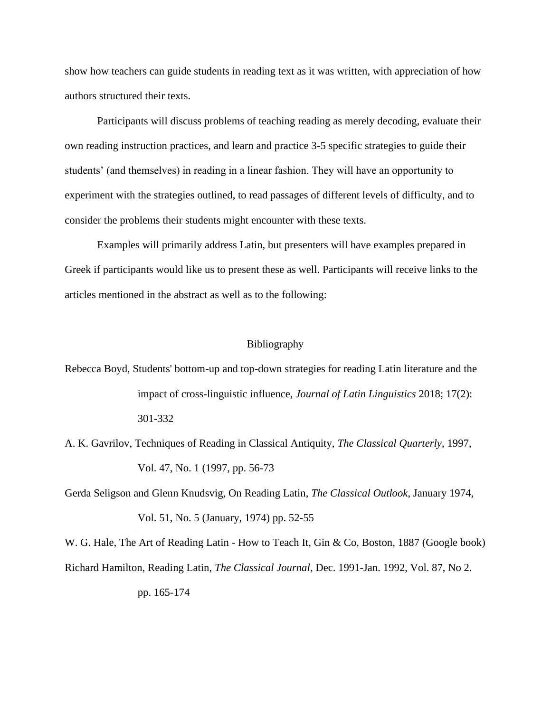show how teachers can guide students in reading text as it was written, with appreciation of how authors structured their texts.

Participants will discuss problems of teaching reading as merely decoding, evaluate their own reading instruction practices, and learn and practice 3-5 specific strategies to guide their students' (and themselves) in reading in a linear fashion. They will have an opportunity to experiment with the strategies outlined, to read passages of different levels of difficulty, and to consider the problems their students might encounter with these texts.

Examples will primarily address Latin, but presenters will have examples prepared in Greek if participants would like us to present these as well. Participants will receive links to the articles mentioned in the abstract as well as to the following:

## Bibliography

Rebecca Boyd, Students' bottom-up and top-down strategies for reading Latin literature and the impact of cross-linguistic influence, *Journal of Latin Linguistics* 2018; 17(2): 301-332

A. K. Gavrilov, Techniques of Reading in Classical Antiquity, *The Classical Quarterly*, 1997, Vol. 47, No. 1 (1997, pp. 56-73

Gerda Seligson and Glenn Knudsvig, On Reading Latin, *The Classical Outlook*, January 1974, Vol. 51, No. 5 (January, 1974) pp. 52-55

W. G. Hale, The Art of Reading Latin - How to Teach It, Gin & Co, Boston, 1887 (Google book) Richard Hamilton, Reading Latin, *The Classical Journal*, Dec. 1991-Jan. 1992, Vol. 87, No 2. pp. 165-174